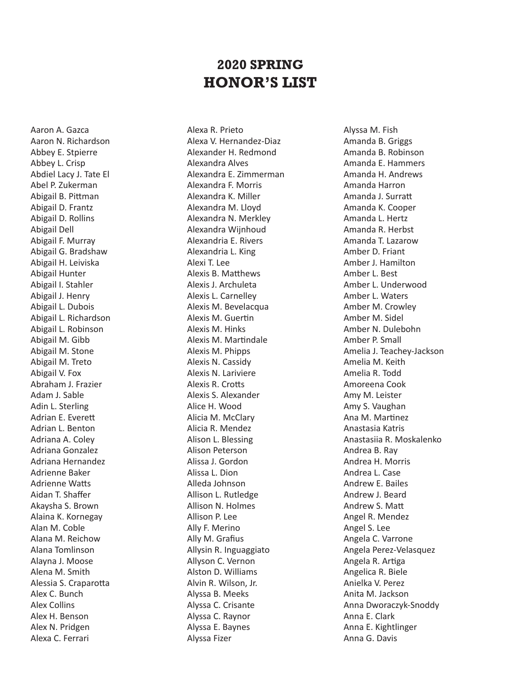## **2020 SPRING HONOR'S LIST**

Aaron A. Gazca Aaron N. Richardson Abbey E. Stpierre Abbey L. Crisp Abdiel Lacy J. Tate El Abel P. Zukerman Abigail B. Pittman Abigail D. Frantz Abigail D. Rollins Abigail Dell Abigail F. Murray Abigail G. Bradshaw Abigail H. Leiviska Abigail Hunter Abigail I. Stahler Abigail J. Henry Abigail L. Dubois Abigail L. Richardson Abigail L. Robinson Abigail M. Gibb Abigail M. Stone Abigail M. Treto Abigail V. Fox Abraham J. Frazier Adam J. Sable Adin L. Sterling Adrian E. Everett Adrian L. Benton Adriana A. Coley Adriana Gonzalez Adriana Hernandez Adrienne Baker Adrienne Watts Aidan T. Shaffer Akaysha S. Brown Alaina K. Kornegay Alan M. Coble Alana M. Reichow Alana Tomlinson Alayna J. Moose Alena M. Smith Alessia S. Craparotta Alex C. Bunch Alex Collins Alex H. Benson Alex N. Pridgen Alexa C. Ferrari

Alexa R. Prieto Alexa V. Hernandez-Diaz Alexander H. Redmond Alexandra Alves Alexandra E. Zimmerman Alexandra F. Morris Alexandra K. Miller Alexandra M. Lloyd Alexandra N. Merkley Alexandra Wijnhoud Alexandria E. Rivers Alexandria L. King Alexi T. Lee Alexis B. Matthews Alexis J. Archuleta Alexis L. Carnelley Alexis M. Bevelacqua Alexis M. Guertin Alexis M. Hinks Alexis M. Martindale Alexis M. Phipps Alexis N. Cassidy Alexis N. Lariviere Alexis R. Crotts Alexis S. Alexander Alice H. Wood Alicia M. McClary Alicia R. Mendez Alison L. Blessing Alison Peterson Alissa J. Gordon Alissa L. Dion Alleda Johnson Allison L. Rutledge Allison N. Holmes Allison P. Lee Ally F. Merino Ally M. Grafius Allysin R. Inguaggiato Allyson C. Vernon Alston D. Williams Alvin R. Wilson, Jr. Alyssa B. Meeks Alyssa C. Crisante Alyssa C. Raynor Alyssa E. Baynes Alyssa Fizer

Alyssa M. Fish Amanda B. Griggs Amanda B. Robinson Amanda E. Hammers Amanda H. Andrews Amanda Harron Amanda J. Surratt Amanda K. Cooper Amanda L. Hertz Amanda R. Herbst Amanda T. Lazarow Amber D. Friant Amber J. Hamilton Amber L. Best Amber L. Underwood Amber L. Waters Amber M. Crowley Amber M. Sidel Amber N. Dulebohn Amber P. Small Amelia J. Teachey-Jackson Amelia M. Keith Amelia R. Todd Amoreena Cook Amy M. Leister Amy S. Vaughan Ana M. Martinez Anastasia Katris Anastasiia R. Moskalenko Andrea B. Ray Andrea H. Morris Andrea L. Case Andrew E. Bailes Andrew J. Beard Andrew S. Matt Angel R. Mendez Angel S. Lee Angela C. Varrone Angela Perez-Velasquez Angela R. Artiga Angelica R. Biele Anielka V. Perez Anita M. Jackson Anna Dworaczyk-Snoddy Anna E. Clark Anna E. Kightlinger Anna G. Davis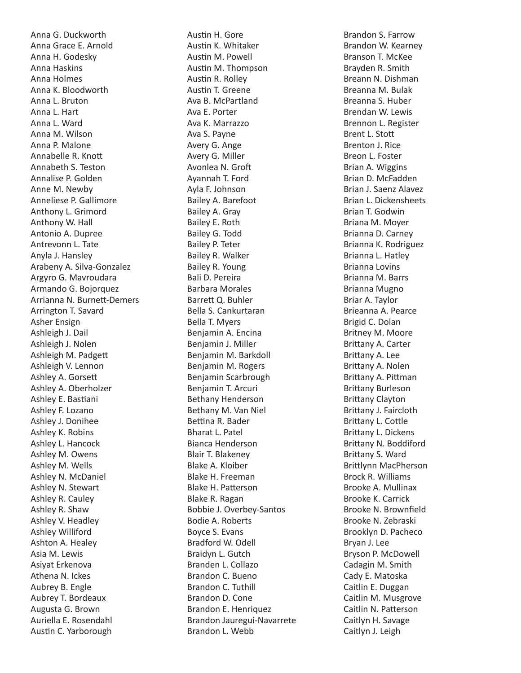Anna G. Duckworth Anna Grace E. Arnold Anna H. Godesky Anna Haskins Anna Holmes Anna K. Bloodworth Anna L. Bruton Anna L. Hart Anna L. Ward Anna M. Wilson Anna P. Malone Annabelle R. Knott Annabeth S. Teston Annalise P. Golden Anne M. Newby Anneliese P. Gallimore Anthony L. Grimord Anthony W. Hall Antonio A. Dupree Antrevonn L. Tate Anyla J. Hansley Arabeny A. Silva-Gonzalez Argyro G. Mavroudara Armando G. Bojorquez Arrianna N. Burnett-Demers Arrington T. Savard Asher Ensign Ashleigh J. Dail Ashleigh J. Nolen Ashleigh M. Padgett Ashleigh V. Lennon Ashley A. Gorsett Ashley A. Oberholzer Ashley E. Bastiani Ashley F. Lozano Ashley J. Donihee Ashley K. Robins Ashley L. Hancock Ashley M. Owens Ashley M. Wells Ashley N. McDaniel Ashley N. Stewart Ashley R. Cauley Ashley R. Shaw Ashley V. Headley Ashley Williford Ashton A. Healey Asia M. Lewis Asiyat Erkenova Athena N. Ickes Aubrey B. Engle Aubrey T. Bordeaux Augusta G. Brown Auriella E. Rosendahl Austin C. Yarborough

Austin H. Gore Austin K. Whitaker Austin M. Powell Austin M. Thompson Austin R. Rolley Austin T. Greene Ava B. McPartland Ava E. Porter Ava K. Marrazzo Ava S. Payne Avery G. Ange Avery G. Miller Avonlea N. Groft Ayannah T. Ford Ayla F. Johnson Bailey A. Barefoot Bailey A. Gray Bailey E. Roth Bailey G. Todd Bailey P. Teter Bailey R. Walker Bailey R. Young Bali D. Pereira Barbara Morales Barrett Q. Buhler Bella S. Cankurtaran Bella T. Myers Benjamin A. Encina Benjamin J. Miller Benjamin M. Barkdoll Benjamin M. Rogers Benjamin Scarbrough Benjamin T. Arcuri Bethany Henderson Bethany M. Van Niel Bettina R. Bader Bharat L. Patel Bianca Henderson Blair T. Blakeney Blake A. Kloiber Blake H. Freeman Blake H. Patterson Blake R. Ragan Bobbie J. Overbey-Santos Bodie A. Roberts Boyce S. Evans Bradford W. Odell Braidyn L. Gutch Branden L. Collazo Brandon C. Bueno Brandon C. Tuthill Brandon D. Cone Brandon E. Henriquez Brandon Jauregui-Navarrete Brandon L. Webb

Brandon S. Farrow Brandon W. Kearney Branson T. McKee Brayden R. Smith Breann N. Dishman Breanna M. Bulak Breanna S. Huber Brendan W. Lewis Brennon L. Register Brent L. Stott Brenton J. Rice Breon L. Foster Brian A. Wiggins Brian D. McFadden Brian J. Saenz Alavez Brian L. Dickensheets Brian T. Godwin Briana M. Moyer Brianna D. Carney Brianna K. Rodriguez Brianna L. Hatley Brianna Lovins Brianna M. Barrs Brianna Mugno Briar A. Taylor Brieanna A. Pearce Brigid C. Dolan Britney M. Moore Brittany A. Carter Brittany A. Lee Brittany A. Nolen Brittany A. Pittman Brittany Burleson Brittany Clayton Brittany J. Faircloth Brittany L. Cottle Brittany L. Dickens Brittany N. Boddiford Brittany S. Ward Brittlynn MacPherson Brock R. Williams Brooke A. Mullinax Brooke K. Carrick Brooke N. Brownfield Brooke N. Zebraski Brooklyn D. Pacheco Bryan J. Lee Bryson P. McDowell Cadagin M. Smith Cady E. Matoska Caitlin E. Duggan Caitlin M. Musgrove Caitlin N. Patterson Caitlyn H. Savage Caitlyn J. Leigh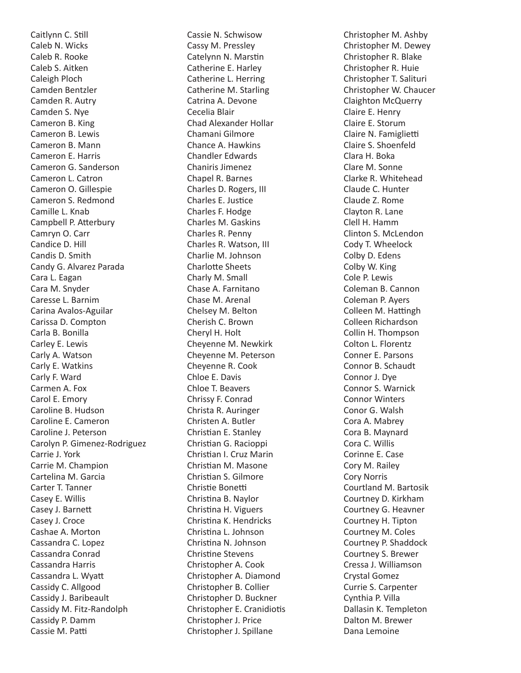Caitlynn C. Still Caleb N. Wicks Caleb R. Rooke Caleb S. Aitken Caleigh Ploch Camden Bentzler Camden R. Autry Camden S. Nye Cameron B. King Cameron B. Lewis Cameron B. Mann Cameron E. Harris Cameron G. Sanderson Cameron L. Catron Cameron O. Gillespie Cameron S. Redmond Camille L. Knab Campbell P. Atterbury Camryn O. Carr Candice D. Hill Candis D. Smith Candy G. Alvarez Parada Cara L. Eagan Cara M. Snyder Caresse L. Barnim Carina Avalos-Aguilar Carissa D. Compton Carla B. Bonilla Carley E. Lewis Carly A. Watson Carly E. Watkins Carly F. Ward Carmen A. Fox Carol E. Emory Caroline B. Hudson Caroline E. Cameron Caroline J. Peterson Carolyn P. Gimenez-Rodriguez Carrie J. York Carrie M. Champion Cartelina M. Garcia Carter T. Tanner Casey E. Willis Casey J. Barnett Casey J. Croce Cashae A. Morton Cassandra C. Lopez Cassandra Conrad Cassandra Harris Cassandra L. Wyatt Cassidy C. Allgood Cassidy J. Baribeault Cassidy M. Fitz-Randolph Cassidy P. Damm Cassie M. Patti

Cassie N. Schwisow Cassy M. Pressley Catelynn N. Marstin Catherine E. Harley Catherine L. Herring Catherine M. Starling Catrina A. Devone Cecelia Blair Chad Alexander Hollar Chamani Gilmore Chance A. Hawkins Chandler Edwards Chaniris Jimenez Chapel R. Barnes Charles D. Rogers, III Charles E. Justice Charles F. Hodge Charles M. Gaskins Charles R. Penny Charles R. Watson, III Charlie M. Johnson Charlotte Sheets Charly M. Small Chase A. Farnitano Chase M. Arenal Chelsey M. Belton Cherish C. Brown Cheryl H. Holt Cheyenne M. Newkirk Cheyenne M. Peterson Cheyenne R. Cook Chloe E. Davis Chloe T. Beavers Chrissy F. Conrad Christa R. Auringer Christen A. Butler Christian E. Stanley Christian G. Racioppi Christian I. Cruz Marin Christian M. Masone Christian S. Gilmore Christie Bonetti Christina B. Naylor Christina H. Viguers Christina K. Hendricks Christina L. Johnson Christina N. Johnson Christine Stevens Christopher A. Cook Christopher A. Diamond Christopher B. Collier Christopher D. Buckner Christopher E. Cranidiotis Christopher J. Price Christopher J. Spillane

Christopher M. Ashby Christopher M. Dewey Christopher R. Blake Christopher R. Huie Christopher T. Salituri Christopher W. Chaucer Claighton McQuerry Claire E. Henry Claire E. Storum Claire N. Famiglietti Claire S. Shoenfeld Clara H. Boka Clare M. Sonne Clarke R. Whitehead Claude C. Hunter Claude Z. Rome Clayton R. Lane Clell H. Hamm Clinton S. McLendon Cody T. Wheelock Colby D. Edens Colby W. King Cole P. Lewis Coleman B. Cannon Coleman P. Ayers Colleen M. Hattingh Colleen Richardson Collin H. Thompson Colton L. Florentz Conner E. Parsons Connor B. Schaudt Connor J. Dye Connor S. Warnick Connor Winters Conor G. Walsh Cora A. Mabrey Cora B. Maynard Cora C. Willis Corinne E. Case Cory M. Railey Cory Norris Courtland M. Bartosik Courtney D. Kirkham Courtney G. Heavner Courtney H. Tipton Courtney M. Coles Courtney P. Shaddock Courtney S. Brewer Cressa J. Williamson Crystal Gomez Currie S. Carpenter Cynthia P. Villa Dallasin K. Templeton Dalton M. Brewer Dana Lemoine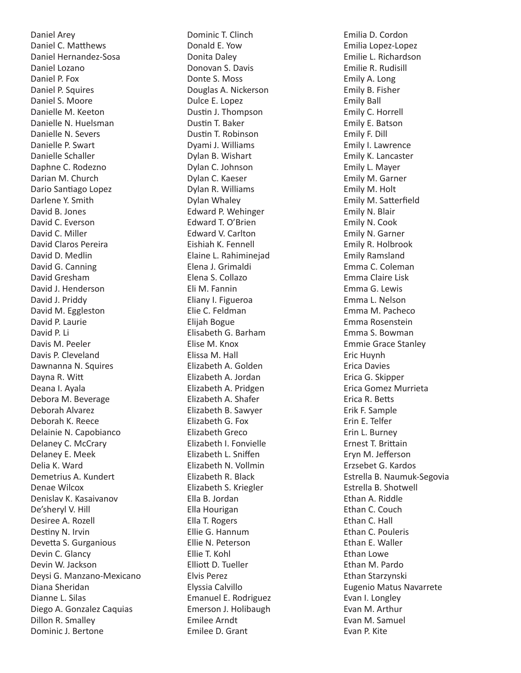Daniel Arey Daniel C. Matthews Daniel Hernandez-Sosa Daniel Lozano Daniel P. Fox Daniel P. Squires Daniel S. Moore Danielle M. Keeton Danielle N. Huelsman Danielle N. Severs Danielle P. Swart Danielle Schaller Daphne C. Rodezno Darian M. Church Dario Santiago Lopez Darlene Y. Smith David B. Jones David C. Everson David C. Miller David Claros Pereira David D. Medlin David G. Canning David Gresham David J. Henderson David J. Priddy David M. Eggleston David P. Laurie David P. Li Davis M. Peeler Davis P. Cleveland Dawnanna N. Squires Dayna R. Witt Deana I. Ayala Debora M. Beverage Deborah Alvarez Deborah K. Reece Delainie N. Capobianco Delaney C. McCrary Delaney E. Meek Delia K. Ward Demetrius A. Kundert Denae Wilcox Denislav K. Kasaivanov De'sheryl V. Hill Desiree A. Rozell Destiny N. Irvin Devetta S. Gurganious Devin C. Glancy Devin W. Jackson Deysi G. Manzano-Mexicano Diana Sheridan Dianne L. Silas Diego A. Gonzalez Caquias Dillon R. Smalley Dominic J. Bertone

Dominic T. Clinch Donald E. Yow Donita Daley Donovan S. Davis Donte S. Moss Douglas A. Nickerson Dulce E. Lopez Dustin J. Thompson Dustin T. Baker Dustin T. Robinson Dyami J. Williams Dylan B. Wishart Dylan C. Johnson Dylan C. Kaeser Dylan R. Williams Dylan Whaley Edward P. Wehinger Edward T. O'Brien Edward V. Carlton Eishiah K. Fennell Elaine L. Rahiminejad Elena J. Grimaldi Elena S. Collazo Eli M. Fannin Eliany I. Figueroa Elie C. Feldman Elijah Bogue Elisabeth G. Barham Elise M. Knox Elissa M. Hall Elizabeth A. Golden Elizabeth A. Jordan Elizabeth A. Pridgen Elizabeth A. Shafer Elizabeth B. Sawyer Elizabeth G. Fox Elizabeth Greco Elizabeth I. Fonvielle Elizabeth L. Sniffen Elizabeth N. Vollmin Elizabeth R. Black Elizabeth S. Kriegler Ella B. Jordan Ella Hourigan Ella T. Rogers Ellie G. Hannum Ellie N. Peterson Ellie T. Kohl Elliott D. Tueller Elvis Perez Elyssia Calvillo Emanuel E. Rodriguez Emerson J. Holibaugh Emilee Arndt Emilee D. Grant

Emilia D. Cordon Emilia Lopez-Lopez Emilie L. Richardson Emilie R. Rudisill Emily A. Long Emily B. Fisher Emily Ball Emily C. Horrell Emily E. Batson Emily F. Dill Emily I. Lawrence Emily K. Lancaster Emily L. Mayer Emily M. Garner Emily M. Holt Emily M. Satterfield Emily N. Blair Emily N. Cook Emily N. Garner Emily R. Holbrook Emily Ramsland Emma C. Coleman Emma Claire Lisk Emma G. Lewis Emma L. Nelson Emma M. Pacheco Emma Rosenstein Emma S. Bowman Emmie Grace Stanley Eric Huynh Erica Davies Erica G. Skipper Erica Gomez Murrieta Erica R. Betts Erik F. Sample Erin E. Telfer Erin L. Burney Ernest T. Brittain Eryn M. Jefferson Erzsebet G. Kardos Estrella B. Naumuk-Segovia Estrella B. Shotwell Ethan A. Riddle Ethan C. Couch Ethan C. Hall Ethan C. Pouleris Ethan E. Waller Ethan Lowe Ethan M. Pardo Ethan Starzynski Eugenio Matus Navarrete Evan I. Longley Evan M. Arthur Evan M. Samuel Evan P. Kite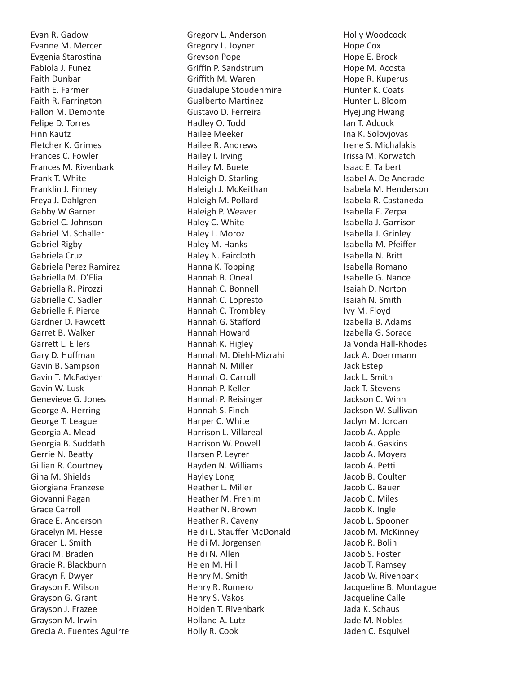Evan R. Gadow Evanne M. Mercer Evgenia Starostina Fabiola J. Funez Faith Dunbar Faith E. Farmer Faith R. Farrington Fallon M. Demonte Felipe D. Torres Finn Kautz Fletcher K. Grimes Frances C. Fowler Frances M. Rivenbark Frank T. White Franklin J. Finney Freya J. Dahlgren Gabby W Garner Gabriel C. Johnson Gabriel M. Schaller Gabriel Rigby Gabriela Cruz Gabriela Perez Ramirez Gabriella M. D'Elia Gabriella R. Pirozzi Gabrielle C. Sadler Gabrielle F. Pierce Gardner D. Fawcett Garret B. Walker Garrett L. Ellers Gary D. Huffman Gavin B. Sampson Gavin T. McFadyen Gavin W. Lusk Genevieve G. Jones George A. Herring George T. League Georgia A. Mead Georgia B. Suddath Gerrie N. Beatty Gillian R. Courtney Gina M. Shields Giorgiana Franzese Giovanni Pagan Grace Carroll Grace E. Anderson Gracelyn M. Hesse Gracen L. Smith Graci M. Braden Gracie R. Blackburn Gracyn F. Dwyer Grayson F. Wilson Grayson G. Grant Grayson J. Frazee Grayson M. Irwin Grecia A. Fuentes Aguirre

Gregory L. Anderson Gregory L. Joyner Greyson Pope Griffin P. Sandstrum Griffith M. Waren Guadalupe Stoudenmire Gualberto Martinez Gustavo D. Ferreira Hadley O. Todd Hailee Meeker Hailee R. Andrews Hailey I. Irving Hailey M. Buete Haleigh D. Starling Haleigh J. McKeithan Haleigh M. Pollard Haleigh P. Weaver Haley C. White Haley L. Moroz Haley M. Hanks Haley N. Faircloth Hanna K. Topping Hannah B. Oneal Hannah C. Bonnell Hannah C. Lopresto Hannah C. Trombley Hannah G. Stafford Hannah Howard Hannah K. Higley Hannah M. Diehl-Mizrahi Hannah N. Miller Hannah O. Carroll Hannah P. Keller Hannah P. Reisinger Hannah S. Finch Harper C. White Harrison L. Villareal Harrison W. Powell Harsen P. Leyrer Hayden N. Williams Hayley Long Heather L. Miller Heather M. Frehim Heather N. Brown Heather R. Caveny Heidi L. Stauffer McDonald Heidi M. Jorgensen Heidi N. Allen Helen M. Hill Henry M. Smith Henry R. Romero Henry S. Vakos Holden T. Rivenbark Holland A. Lutz Holly R. Cook

Holly Woodcock Hope Cox Hope E. Brock Hope M. Acosta Hope R. Kuperus Hunter K. Coats Hunter L. Bloom Hyejung Hwang Ian T. Adcock Ina K. Solovjovas Irene S. Michalakis Irissa M. Korwatch Isaac E. Talbert Isabel A. De Andrade Isabela M. Henderson Isabela R. Castaneda Isabella E. Zerpa Isabella J. Garrison Isabella J. Grinley Isabella M. Pfeiffer Isabella N. Britt Isabella Romano Isabelle G. Nance Isaiah D. Norton Isaiah N. Smith Ivy M. Floyd Izabella B. Adams Izabella G. Sorace Ja Vonda Hall-Rhodes Jack A. Doerrmann Jack Estep Jack L. Smith Jack T. Stevens Jackson C. Winn Jackson W. Sullivan Jaclyn M. Jordan Jacob A. Apple Jacob A. Gaskins Jacob A. Moyers Jacob A. Petti Jacob B. Coulter Jacob C. Bauer Jacob C. Miles Jacob K. Ingle Jacob L. Spooner Jacob M. McKinney Jacob R. Bolin Jacob S. Foster Jacob T. Ramsey Jacob W. Rivenbark Jacqueline B. Montague Jacqueline Calle Jada K. Schaus Jade M. Nobles Jaden C. Esquivel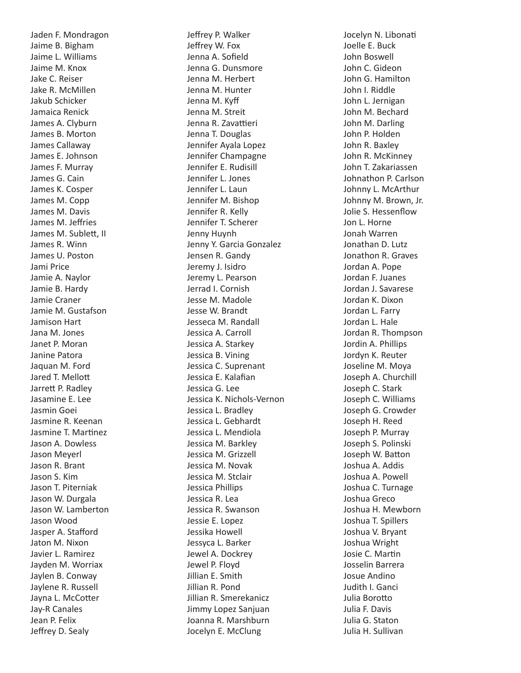Jaden F. Mondragon Jaime B. Bigham Jaime L. Williams Jaime M. Knox Jake C. Reiser Jake R. McMillen Jakub Schicker Jamaica Renick James A. Clyburn James B. Morton James Callaway James E. Johnson James F. Murray James G. Cain James K. Cosper James M. Copp James M. Davis James M. Jeffries James M. Sublett, II James R. Winn James U. Poston Jami Price Jamie A. Naylor Jamie B. Hardy Jamie Craner Jamie M. Gustafson Jamison Hart Jana M. Jones Janet P. Moran Janine Patora Jaquan M. Ford Jared T. Mellott Jarrett P. Radley Jasamine E. Lee Jasmin Goei Jasmine R. Keenan Jasmine T. Martinez Jason A. Dowless Jason Meyerl Jason R. Brant Jason S. Kim Jason T. Piterniak Jason W. Durgala Jason W. Lamberton Jason Wood Jasper A. Stafford Jaton M. Nixon Javier L. Ramirez Jayden M. Worriax Jaylen B. Conway Jaylene R. Russell Jayna L. McCotter Jay-R Canales Jean P. Felix Jeffrey D. Sealy

Jeffrey P. Walker Jeffrey W. Fox Jenna A. Sofield Jenna G. Dunsmore Jenna M. Herbert Jenna M. Hunter Jenna M. Kyff Jenna M. Streit Jenna R. Zavattieri Jenna T. Douglas Jennifer Ayala Lopez Jennifer Champagne Jennifer E. Rudisill Jennifer L. Jones Jennifer L. Laun Jennifer M. Bishop Jennifer R. Kelly Jennifer T. Scherer Jenny Huynh Jenny Y. Garcia Gonzalez Jensen R. Gandy Jeremy J. Isidro Jeremy L. Pearson Jerrad I. Cornish Jesse M. Madole Jesse W. Brandt Jesseca M. Randall Jessica A. Carroll Jessica A. Starkey Jessica B. Vining Jessica C. Suprenant Jessica E. Kalafian Jessica G. Lee Jessica K. Nichols-Vernon Jessica L. Bradley Jessica L. Gebhardt Jessica L. Mendiola Jessica M. Barkley Jessica M. Grizzell Jessica M. Novak Jessica M. Stclair Jessica Phillips Jessica R. Lea Jessica R. Swanson Jessie E. Lopez Jessika Howell Jessyca L. Barker Jewel A. Dockrey Jewel P. Floyd Jillian E. Smith Jillian R. Pond Jillian R. Smerekanicz Jimmy Lopez Sanjuan Joanna R. Marshburn Jocelyn E. McClung

Jocelyn N. Libonati Joelle E. Buck John Boswell John C. Gideon John G. Hamilton John I. Riddle John L. Jernigan John M. Bechard John M. Darling John P. Holden John R. Baxley John R. McKinney John T. Zakariassen Johnathon P. Carlson Johnny L. McArthur Johnny M. Brown, Jr. Jolie S. Hessenflow Jon L. Horne Jonah Warren Jonathan D. Lutz Jonathon R. Graves Jordan A. Pope Jordan F. Juanes Jordan J. Savarese Jordan K. Dixon Jordan L. Farry Jordan L. Hale Jordan R. Thompson Jordin A. Phillips Jordyn K. Reuter Joseline M. Moya Joseph A. Churchill Joseph C. Stark Joseph C. Williams Joseph G. Crowder Joseph H. Reed Joseph P. Murray Joseph S. Polinski Joseph W. Batton Joshua A. Addis Joshua A. Powell Joshua C. Turnage Joshua Greco Joshua H. Mewborn Joshua T. Spillers Joshua V. Bryant Joshua Wright Josie C. Martin Josselin Barrera Josue Andino Judith I. Ganci Julia Borotto Julia F. Davis Julia G. Staton Julia H. Sullivan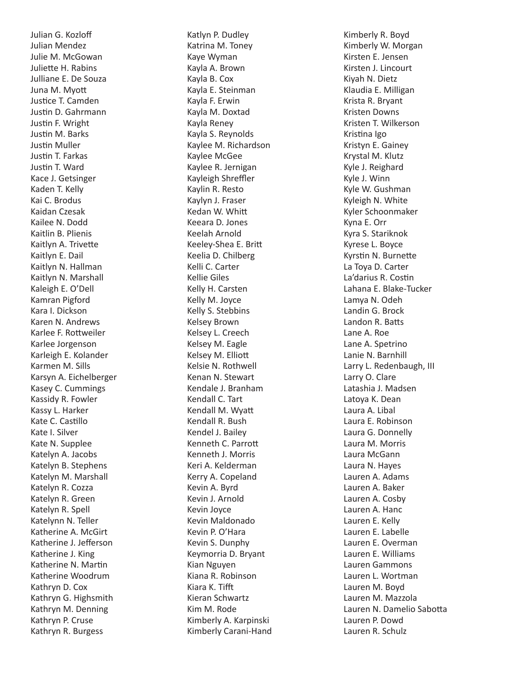Julian G. Kozloff Julian Mendez Julie M. McGowan Juliette H. Rabins Julliane E. De Souza Juna M. Myott Justice T. Camden Justin D. Gahrmann Justin F. Wright Justin M. Barks Justin Muller Justin T. Farkas Justin T. Ward Kace J. Getsinger Kaden T. Kelly Kai C. Brodus Kaidan Czesak Kailee N. Dodd Kaitlin B. Plienis Kaitlyn A. Trivette Kaitlyn E. Dail Kaitlyn N. Hallman Kaitlyn N. Marshall Kaleigh E. O'Dell Kamran Pigford Kara I. Dickson Karen N. Andrews Karlee F. Rottweiler Karlee Jorgenson Karleigh E. Kolander Karmen M. Sills Karsyn A. Eichelberger Kasey C. Cummings Kassidy R. Fowler Kassy L. Harker Kate C. Castillo Kate I. Silver Kate N. Supplee Katelyn A. Jacobs Katelyn B. Stephens Katelyn M. Marshall Katelyn R. Cozza Katelyn R. Green Katelyn R. Spell Katelynn N. Teller Katherine A. McGirt Katherine J. Jefferson Katherine J. King Katherine N. Martin Katherine Woodrum Kathryn D. Cox Kathryn G. Highsmith Kathryn M. Denning Kathryn P. Cruse Kathryn R. Burgess

Katlyn P. Dudley Katrina M. Toney Kaye Wyman Kayla A. Brown Kayla B. Cox Kayla E. Steinman Kayla F. Erwin Kayla M. Doxtad Kayla Reney Kayla S. Reynolds Kaylee M. Richardson Kaylee McGee Kaylee R. Jernigan Kayleigh Shreffler Kaylin R. Resto Kaylyn J. Fraser Kedan W. Whitt Keeara D. Jones Keelah Arnold Keeley-Shea E. Britt Keelia D. Chilberg Kelli C. Carter Kellie Giles Kelly H. Carsten Kelly M. Joyce Kelly S. Stebbins Kelsey Brown Kelsey L. Creech Kelsey M. Eagle Kelsey M. Elliott Kelsie N. Rothwell Kenan N. Stewart Kendale J. Branham Kendall C. Tart Kendall M. Wyatt Kendall R. Bush Kendel J. Bailey Kenneth C. Parrott Kenneth J. Morris Keri A. Kelderman Kerry A. Copeland Kevin A. Byrd Kevin J. Arnold Kevin Joyce Kevin Maldonado Kevin P. O'Hara Kevin S. Dunphy Keymorria D. Bryant Kian Nguyen Kiana R. Robinson Kiara K. Tifft Kieran Schwartz Kim M. Rode Kimberly A. Karpinski Kimberly Carani-Hand Kimberly R. Boyd Kimberly W. Morgan Kirsten E. Jensen Kirsten J. Lincourt Kiyah N. Dietz Klaudia E. Milligan Krista R. Bryant Kristen Downs Kristen T. Wilkerson Kristina Igo Kristyn E. Gainey Krystal M. Klutz Kyle J. Reighard Kyle J. Winn Kyle W. Gushman Kyleigh N. White Kyler Schoonmaker Kyna E. Orr Kyra S. Stariknok Kyrese L. Boyce Kyrstin N. Burnette La Toya D. Carter La'darius R. Costin Lahana E. Blake-Tucker Lamya N. Odeh Landin G. Brock Landon R. Batts Lane A. Roe Lane A. Spetrino Lanie N. Barnhill Larry L. Redenbaugh, III Larry O. Clare Latashia J. Madsen Latoya K. Dean Laura A. Libal Laura E. Robinson Laura G. Donnelly Laura M. Morris Laura McGann Laura N. Hayes Lauren A. Adams Lauren A. Baker Lauren A. Cosby Lauren A. Hanc Lauren E. Kelly Lauren E. Labelle Lauren E. Overman Lauren E. Williams Lauren Gammons Lauren L. Wortman Lauren M. Boyd Lauren M. Mazzola Lauren N. Damelio Sabotta Lauren P. Dowd Lauren R. Schulz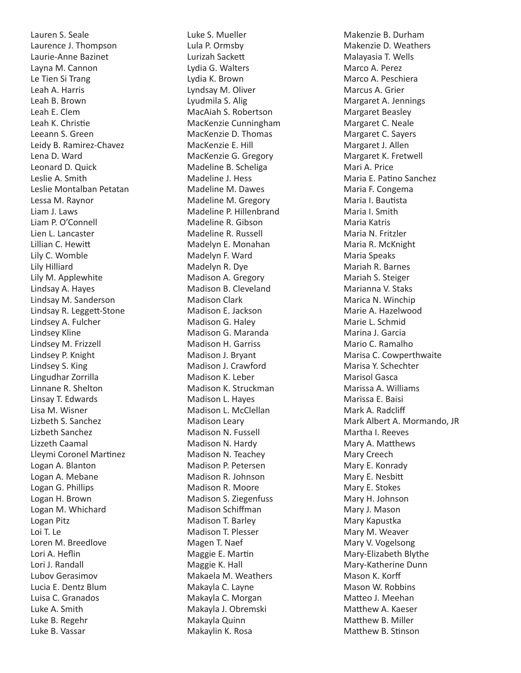Lauren S. Seale Laurence J. Thompson Laurie-Anne Bazinet Layna M. Cannon Le Tien Si Trang Leah A. Harris Leah B. Brown Leah E. Clem Leah K. Christie Leeann S. Green Leidy B. Ramirez-Chavez Lena D. Ward Leonard D. Quick Leslie A. Smith Leslie Montalban Petatan Lessa M. Raynor Liam J. Laws Liam P. O'Connell Lien L. Lancaster Lillian C. Hewitt Lily C. Womble Lily Hilliard Lily M. Applewhite Lindsay A. Hayes Lindsay M. Sanderson Lindsay R. Leggett-Stone Lindsey A. Fulcher Lindsey Kline Lindsey M. Frizzell Lindsey P. Knight Lindsey S. King Lingudhar Zorrilla Linnane R. Shelton Linsay T. Edwards Lisa M. Wisner Lizbeth S. Sanchez Lizbeth Sanchez Lizzeth Caamal Lleymi Coronel Martinez Logan A. Blanton Logan A. Mebane Logan G. Phillips Logan H. Brown Logan M. Whichard Logan Pitz Loi T. Le Loren M. Breedlove Lori A. Heflin Lori J. Randall Lubov Gerasimov Lucia E. Dentz Blum Luisa C. Granados Luke A. Smith Luke B. Regehr Luke B. Vassar

Luke S. Mueller Lula P. Ormsby Lurizah Sackett Lydia G. Walters Lydia K. Brown Lyndsay M. Oliver Lyudmila S. Alig MacAiah S. Robertson MacKenzie Cunningham MacKenzie D. Thomas MacKenzie E. Hill MacKenzie G. Gregory Madeline B. Scheliga Madeline J. Hess Madeline M. Dawes Madeline M. Gregory Madeline P. Hillenbrand Madeline R. Gibson Madeline R. Russell Madelyn E. Monahan Madelyn F. Ward Madelyn R. Dye Madison A. Gregory Madison B. Cleveland Madison Clark Madison E. Jackson Madison G. Haley Madison G. Maranda Madison H. Garriss Madison J. Bryant Madison J. Crawford Madison K. Leber Madison K. Struckman Madison L. Hayes Madison L. McClellan Madison Leary Madison N. Fussell Madison N. Hardy Madison N. Teachey Madison P. Petersen Madison R. Johnson Madison R. Moore Madison S. Ziegenfuss Madison Schiffman Madison T. Barley Madison T. Plesser Magen T. Naef Maggie E. Martin Maggie K. Hall Makaela M. Weathers Makayla C. Layne Makayla C. Morgan Makayla J. Obremski Makayla Quinn Makaylin K. Rosa

Makenzie B. Durham Makenzie D. Weathers Malayasia T. Wells Marco A. Perez Marco A. Peschiera Marcus A. Grier Margaret A. Jennings Margaret Beasley Margaret C. Neale Margaret C. Sayers Margaret J. Allen Margaret K. Fretwell Mari A. Price Maria E. Patino Sanchez Maria F. Congema Maria I. Bautista Maria I. Smith Maria Katris Maria N. Fritzler Maria R. McKnight Maria Speaks Mariah R. Barnes Mariah S. Steiger Marianna V. Staks Marica N. Winchip Marie A. Hazelwood Marie L. Schmid Marina J. Garcia Mario C. Ramalho Marisa C. Cowperthwaite Marisa Y. Schechter Marisol Gasca Marissa A. Williams Marissa E. Baisi Mark A. Radcliff Mark Albert A. Mormando, JR Martha I. Reeves Mary A. Matthews Mary Creech Mary E. Konrady Mary E. Nesbitt Mary E. Stokes Mary H. Johnson Mary J. Mason Mary Kapustka Mary M. Weaver Mary V. Vogelsong Mary-Elizabeth Blythe Mary-Katherine Dunn Mason K. Korff Mason W. Robbins Matteo J. Meehan Matthew A. Kaeser Matthew B. Miller Matthew B. Stinson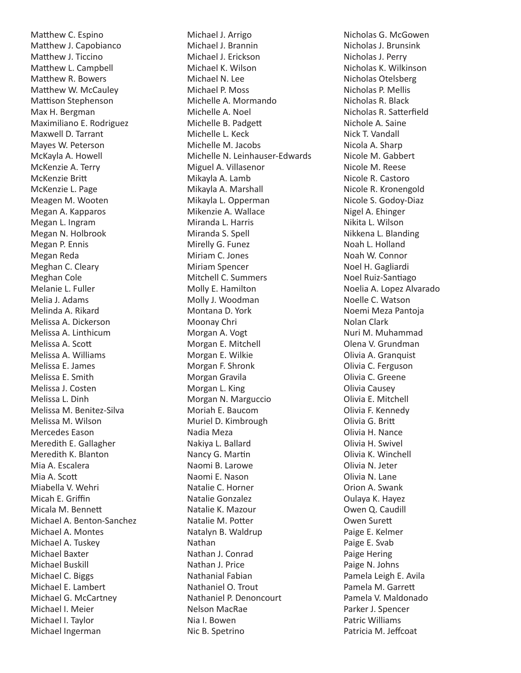Matthew C. Espino Matthew J. Capobianco Matthew J. Ticcino Matthew L. Campbell Matthew R. Bowers Matthew W. McCauley Mattison Stephenson Max H. Bergman Maximiliano E. Rodriguez Maxwell D. Tarrant Mayes W. Peterson McKayla A. Howell McKenzie A. Terry McKenzie Britt McKenzie L. Page Meagen M. Wooten Megan A. Kapparos Megan L. Ingram Megan N. Holbrook Megan P. Ennis Megan Reda Meghan C. Cleary Meghan Cole Melanie L. Fuller Melia J. Adams Melinda A. Rikard Melissa A. Dickerson Melissa A. Linthicum Melissa A. Scott Melissa A. Williams Melissa E. James Melissa E. Smith Melissa J. Costen Melissa L. Dinh Melissa M. Benitez-Silva Melissa M. Wilson Mercedes Eason Meredith E. Gallagher Meredith K. Blanton Mia A. Escalera Mia A. Scott Miabella V. Wehri Micah E. Griffin Micala M. Bennett Michael A. Benton-Sanchez Michael A. Montes Michael A. Tuskey Michael Baxter Michael Buskill Michael C. Biggs Michael E. Lambert Michael G. McCartney Michael I. Meier Michael I. Taylor Michael Ingerman

Michael J. Arrigo Michael J. Brannin Michael J. Erickson Michael K. Wilson Michael N. Lee Michael P. Moss Michelle A. Mormando Michelle A. Noel Michelle B. Padgett Michelle L. Keck Michelle M. Jacobs Michelle N. Leinhauser-Edwards Miguel A. Villasenor Mikayla A. Lamb Mikayla A. Marshall Mikayla L. Opperman Mikenzie A. Wallace Miranda L. Harris Miranda S. Spell Mirelly G. Funez Miriam C. Jones Miriam Spencer Mitchell C. Summers Molly E. Hamilton Molly J. Woodman Montana D. York Moonay Chri Morgan A. Vogt Morgan E. Mitchell Morgan E. Wilkie Morgan F. Shronk Morgan Gravila Morgan L. King Morgan N. Marguccio Moriah E. Baucom Muriel D. Kimbrough Nadia Meza Nakiya L. Ballard Nancy G. Martin Naomi B. Larowe Naomi E. Nason Natalie C. Horner Natalie Gonzalez Natalie K. Mazour Natalie M. Potter Natalyn B. Waldrup Nathan Nathan J. Conrad Nathan J. Price Nathanial Fabian Nathaniel O. Trout Nathaniel P. Denoncourt Nelson MacRae Nia I. Bowen Nic B. Spetrino

Nicholas G. McGowen Nicholas J. Brunsink Nicholas J. Perry Nicholas K. Wilkinson Nicholas Otelsberg Nicholas P. Mellis Nicholas R. Black Nicholas R. Satterfield Nichole A. Saine Nick T. Vandall Nicola A. Sharp Nicole M. Gabbert Nicole M. Reese Nicole R. Castoro Nicole R. Kronengold Nicole S. Godoy-Diaz Nigel A. Ehinger Nikita L. Wilson Nikkena L. Blanding Noah L. Holland Noah W. Connor Noel H. Gagliardi Noel Ruiz-Santiago Noelia A. Lopez Alvarado Noelle C. Watson Noemi Meza Pantoja Nolan Clark Nuri M. Muhammad Olena V. Grundman Olivia A. Granquist Olivia C. Ferguson Olivia C. Greene Olivia Causey Olivia E. Mitchell Olivia F. Kennedy Olivia G. Britt Olivia H. Nance Olivia H. Swivel Olivia K. Winchell Olivia N. Jeter Olivia N. Lane Orion A. Swank Oulaya K. Hayez Owen Q. Caudill Owen Surett Paige E. Kelmer Paige E. Svab Paige Hering Paige N. Johns Pamela Leigh E. Avila Pamela M. Garrett Pamela V. Maldonado Parker J. Spencer Patric Williams Patricia M. Jeffcoat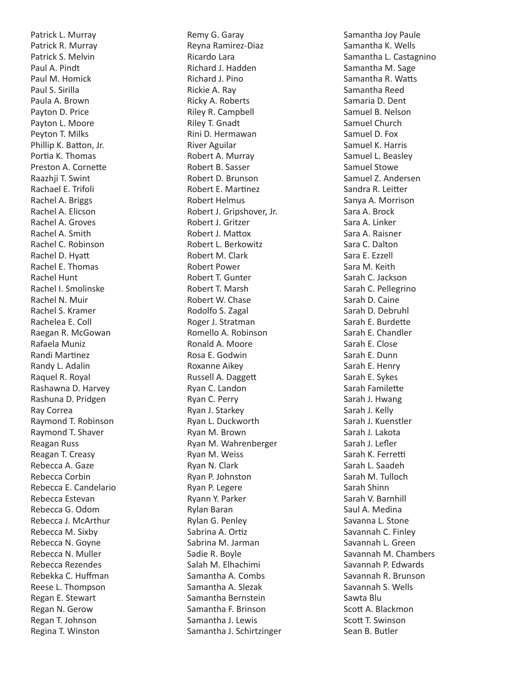Patrick L. Murray Patrick R. Murray Patrick S. Melvin Paul A. Pindt Paul M. Homick Paul S. Sirilla Paula A. Brown Payton D. Price Payton L. Moore Peyton T. Milks Phillip K. Batton, Jr. Portia K. Thomas Preston A. Cornette Raazhji T. Swint Rachael E. Trifoli Rachel A. Briggs Rachel A. Elicson Rachel A. Groves Rachel A. Smith Rachel C. Robinson Rachel D. Hyatt Rachel E. Thomas Rachel Hunt Rachel I. Smolinske Rachel N. Muir Rachel S. Kramer Rachelea E. Coll Raegan R. McGowan Rafaela Muniz Randi Martinez Randy L. Adalin Raquel R. Royal Rashawna D. Harvey Rashuna D. Pridgen Ray Correa Raymond T. Robinson Raymond T. Shaver Reagan Russ Reagan T. Creasy Rebecca A. Gaze Rebecca Corbin Rebecca E. Candelario Rebecca Estevan Rebecca G. Odom Rebecca J. McArthur Rebecca M. Sixby Rebecca N. Goyne Rebecca N. Muller Rebecca Rezendes Rebekka C. Huffman Reese L. Thompson Regan E. Stewart Regan N. Gerow Regan T. Johnson Regina T. Winston

Remy G. Garay Reyna Ramirez-Diaz Ricardo Lara Richard J. Hadden Richard J. Pino Rickie A. Ray Ricky A. Roberts Riley R. Campbell Riley T. Gnadt Rini D. Hermawan River Aguilar Robert A. Murray Robert B. Sasser Robert D. Brunson Robert E. Martinez Robert Helmus Robert J. Gripshover, Jr. Robert J. Gritzer Robert J. Mattox Robert L. Berkowitz Robert M. Clark Robert Power Robert T. Gunter Robert T. Marsh Robert W. Chase Rodolfo S. Zagal Roger J. Stratman Romello A. Robinson Ronald A. Moore Rosa E. Godwin Roxanne Aikey Russell A. Daggett Ryan C. Landon Ryan C. Perry Ryan J. Starkey Ryan L. Duckworth Ryan M. Brown Ryan M. Wahrenberger Ryan M. Weiss Ryan N. Clark Ryan P. Johnston Ryan P. Legere Ryann Y. Parker Rylan Baran Rylan G. Penley Sabrina A. Ortiz Sabrina M. Jarman Sadie R. Boyle Salah M. Elhachimi Samantha A. Combs Samantha A. Slezak Samantha Bernstein Samantha F. Brinson Samantha J. Lewis Samantha J. Schirtzinger Samantha Joy Paule Samantha K. Wells Samantha L. Castagnino Samantha M. Sage Samantha R. Watts Samantha Reed Samaria D. Dent Samuel B. Nelson Samuel Church Samuel D. Fox Samuel K. Harris Samuel L. Beasley Samuel Stowe Samuel Z. Andersen Sandra R. Leitter Sanya A. Morrison Sara A. Brock Sara A. Linker Sara A. Raisner Sara C. Dalton Sara E. Ezzell Sara M. Keith Sarah C. Jackson Sarah C. Pellegrino Sarah D. Caine Sarah D. Debruhl Sarah E. Burdette Sarah E. Chandler Sarah E. Close Sarah E. Dunn Sarah E. Henry Sarah E. Sykes Sarah Familette Sarah J. Hwang Sarah J. Kelly Sarah J. Kuenstler Sarah J. Lakota Sarah J. Lefler Sarah K. Ferretti Sarah L. Saadeh Sarah M. Tulloch Sarah Shinn Sarah V. Barnhill Saul A. Medina Savanna L. Stone Savannah C. Finley Savannah L. Green Savannah M. Chambers Savannah P. Edwards Savannah R. Brunson Savannah S. Wells Sawta Blu Scott A. Blackmon Scott T. Swinson Sean B. Butler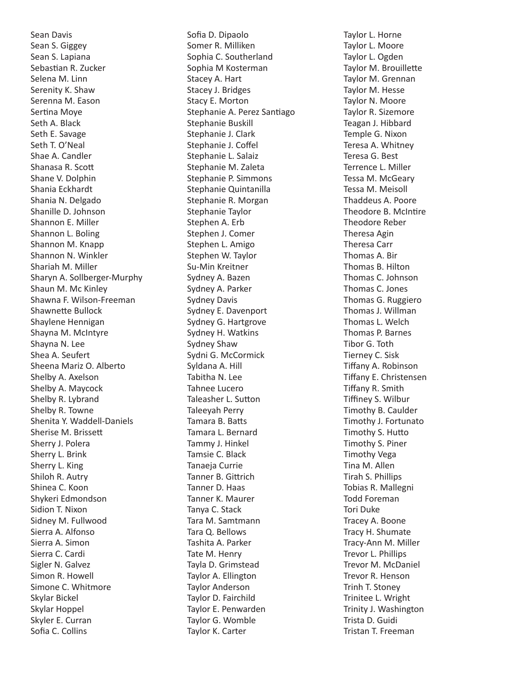Sean Davis Sean S. Giggey Sean S. Lapiana Sebastian R. Zucker Selena M. Linn Serenity K. Shaw Serenna M. Eason Sertina Moye Seth A. Black Seth E. Savage Seth T. O'Neal Shae A. Candler Shanasa R. Scott Shane V. Dolphin Shania Eckhardt Shania N. Delgado Shanille D. Johnson Shannon E. Miller Shannon L. Boling Shannon M. Knapp Shannon N. Winkler Shariah M. Miller Sharyn A. Sollberger-Murphy Shaun M. Mc Kinley Shawna F. Wilson-Freeman Shawnette Bullock Shaylene Hennigan Shayna M. McIntyre Shayna N. Lee Shea A. Seufert Sheena Mariz O. Alberto Shelby A. Axelson Shelby A. Maycock Shelby R. Lybrand Shelby R. Towne Shenita Y. Waddell-Daniels Sherise M. Brissett Sherry J. Polera Sherry L. Brink Sherry L. King Shiloh R. Autry Shinea C. Koon Shykeri Edmondson Sidion T. Nixon Sidney M. Fullwood Sierra A. Alfonso Sierra A. Simon Sierra C. Cardi Sigler N. Galvez Simon R. Howell Simone C. Whitmore Skylar Bickel Skylar Hoppel Skyler E. Curran Sofia C. Collins

Sofia D. Dipaolo Somer R. Milliken Sophia C. Southerland Sophia M Kosterman Stacey A. Hart Stacey J. Bridges Stacy E. Morton Stephanie A. Perez Santiago Stephanie Buskill Stephanie J. Clark Stephanie J. Coffel Stephanie L. Salaiz Stephanie M. Zaleta Stephanie P. Simmons Stephanie Quintanilla Stephanie R. Morgan Stephanie Taylor Stephen A. Erb Stephen J. Comer Stephen L. Amigo Stephen W. Taylor Su-Min Kreitner Sydney A. Bazen Sydney A. Parker Sydney Davis Sydney E. Davenport Sydney G. Hartgrove Sydney H. Watkins Sydney Shaw Sydni G. McCormick Syldana A. Hill Tabitha N. Lee Tahnee Lucero Taleasher L. Sutton Taleeyah Perry Tamara B. Batts Tamara L. Bernard Tammy J. Hinkel Tamsie C. Black Tanaeja Currie Tanner B. Gittrich Tanner D. Haas Tanner K. Maurer Tanya C. Stack Tara M. Samtmann Tara Q. Bellows Tashita A. Parker Tate M. Henry Tayla D. Grimstead Taylor A. Ellington Taylor Anderson Taylor D. Fairchild Taylor E. Penwarden Taylor G. Womble Taylor K. Carter

Taylor L. Horne Taylor L. Moore Taylor L. Ogden Taylor M. Brouillette Taylor M. Grennan Taylor M. Hesse Taylor N. Moore Taylor R. Sizemore Teagan J. Hibbard Temple G. Nixon Teresa A. Whitney Teresa G. Best Terrence L. Miller Tessa M. McGeary Tessa M. Meisoll Thaddeus A. Poore Theodore B. McIntire Theodore Reber Theresa Agin Theresa Carr Thomas A. Bir Thomas B. Hilton Thomas C. Johnson Thomas C. Jones Thomas G. Ruggiero Thomas J. Willman Thomas L. Welch Thomas P. Barnes Tibor G. Toth Tierney C. Sisk Tiffany A. Robinson Tiffany E. Christensen Tiffany R. Smith Tiffiney S. Wilbur Timothy B. Caulder Timothy J. Fortunato Timothy S. Hutto Timothy S. Piner Timothy Vega Tina M. Allen Tirah S. Phillips Tobias R. Mallegni Todd Foreman Tori Duke Tracey A. Boone Tracy H. Shumate Tracy-Ann M. Miller Trevor L. Phillips Trevor M. McDaniel Trevor R. Henson Trinh T. Stoney Trinitee L. Wright Trinity J. Washington Trista D. Guidi Tristan T. Freeman